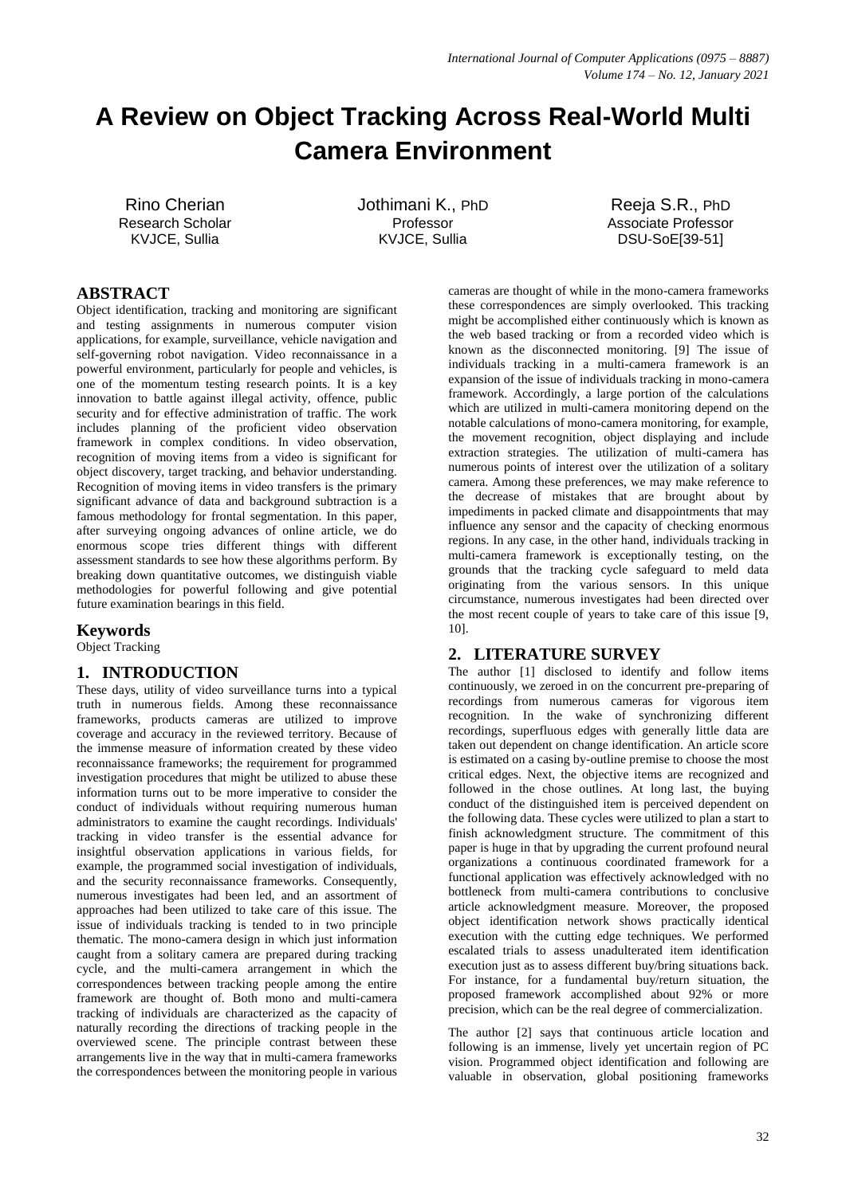# **A Review on Object Tracking Across Real-World Multi Camera Environment**

Rino Cherian Research Scholar KVJCE, Sullia

Jothimani K., PhD Professor KVJCE, Sullia

Reeja S.R., PhD Associate Professor DSU-SoE[39-51]

# **ABSTRACT**

Object identification, tracking and monitoring are significant and testing assignments in numerous computer vision applications, for example, surveillance, vehicle navigation and self-governing robot navigation. Video reconnaissance in a powerful environment, particularly for people and vehicles, is one of the momentum testing research points. It is a key innovation to battle against illegal activity, offence, public security and for effective administration of traffic. The work includes planning of the proficient video observation framework in complex conditions. In video observation, recognition of moving items from a video is significant for object discovery, target tracking, and behavior understanding. Recognition of moving items in video transfers is the primary significant advance of data and background subtraction is a famous methodology for frontal segmentation. In this paper, after surveying ongoing advances of online article, we do enormous scope tries different things with different assessment standards to see how these algorithms perform. By breaking down quantitative outcomes, we distinguish viable methodologies for powerful following and give potential future examination bearings in this field.

## **Keywords**

Object Tracking

## **1. INTRODUCTION**

These days, utility of video surveillance turns into a typical truth in numerous fields. Among these reconnaissance frameworks, products cameras are utilized to improve coverage and accuracy in the reviewed territory. Because of the immense measure of information created by these video reconnaissance frameworks; the requirement for programmed investigation procedures that might be utilized to abuse these information turns out to be more imperative to consider the conduct of individuals without requiring numerous human administrators to examine the caught recordings. Individuals' tracking in video transfer is the essential advance for insightful observation applications in various fields, for example, the programmed social investigation of individuals, and the security reconnaissance frameworks. Consequently, numerous investigates had been led, and an assortment of approaches had been utilized to take care of this issue. The issue of individuals tracking is tended to in two principle thematic. The mono-camera design in which just information caught from a solitary camera are prepared during tracking cycle, and the multi-camera arrangement in which the correspondences between tracking people among the entire framework are thought of. Both mono and multi-camera tracking of individuals are characterized as the capacity of naturally recording the directions of tracking people in the overviewed scene. The principle contrast between these arrangements live in the way that in multi-camera frameworks the correspondences between the monitoring people in various

cameras are thought of while in the mono-camera frameworks these correspondences are simply overlooked. This tracking might be accomplished either continuously which is known as the web based tracking or from a recorded video which is known as the disconnected monitoring. [9] The issue of individuals tracking in a multi-camera framework is an expansion of the issue of individuals tracking in mono-camera framework. Accordingly, a large portion of the calculations which are utilized in multi-camera monitoring depend on the notable calculations of mono-camera monitoring, for example, the movement recognition, object displaying and include extraction strategies. The utilization of multi-camera has numerous points of interest over the utilization of a solitary camera. Among these preferences, we may make reference to the decrease of mistakes that are brought about by impediments in packed climate and disappointments that may influence any sensor and the capacity of checking enormous regions. In any case, in the other hand, individuals tracking in multi-camera framework is exceptionally testing, on the grounds that the tracking cycle safeguard to meld data originating from the various sensors. In this unique circumstance, numerous investigates had been directed over the most recent couple of years to take care of this issue [9, 10].

# **2. LITERATURE SURVEY**

The author [1] disclosed to identify and follow items continuously, we zeroed in on the concurrent pre-preparing of recordings from numerous cameras for vigorous item recognition. In the wake of synchronizing different recordings, superfluous edges with generally little data are taken out dependent on change identification. An article score is estimated on a casing by-outline premise to choose the most critical edges. Next, the objective items are recognized and followed in the chose outlines. At long last, the buying conduct of the distinguished item is perceived dependent on the following data. These cycles were utilized to plan a start to finish acknowledgment structure. The commitment of this paper is huge in that by upgrading the current profound neural organizations a continuous coordinated framework for a functional application was effectively acknowledged with no bottleneck from multi-camera contributions to conclusive article acknowledgment measure. Moreover, the proposed object identification network shows practically identical execution with the cutting edge techniques. We performed escalated trials to assess unadulterated item identification execution just as to assess different buy/bring situations back. For instance, for a fundamental buy/return situation, the proposed framework accomplished about 92% or more precision, which can be the real degree of commercialization.

The author [2] says that continuous article location and following is an immense, lively yet uncertain region of PC vision. Programmed object identification and following are valuable in observation, global positioning frameworks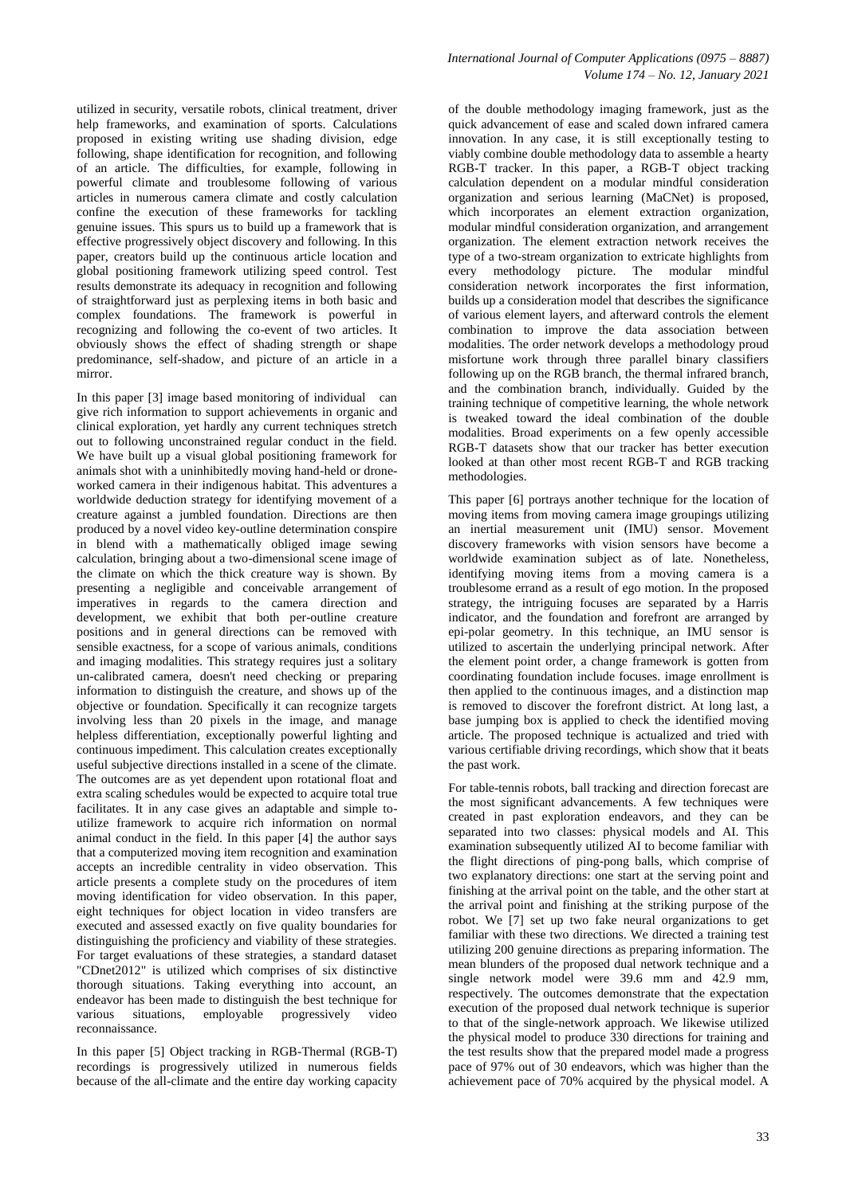utilized in security, versatile robots, clinical treatment, driver help frameworks, and examination of sports. Calculations proposed in existing writing use shading division, edge following, shape identification for recognition, and following of an article. The difficulties, for example, following in powerful climate and troublesome following of various articles in numerous camera climate and costly calculation confine the execution of these frameworks for tackling genuine issues. This spurs us to build up a framework that is effective progressively object discovery and following. In this paper, creators build up the continuous article location and global positioning framework utilizing speed control. Test results demonstrate its adequacy in recognition and following of straightforward just as perplexing items in both basic and complex foundations. The framework is powerful in recognizing and following the co-event of two articles. It obviously shows the effect of shading strength or shape predominance, self-shadow, and picture of an article in a mirror.

In this paper [3] image based monitoring of individual can give rich information to support achievements in organic and clinical exploration, yet hardly any current techniques stretch out to following unconstrained regular conduct in the field. We have built up a visual global positioning framework for animals shot with a uninhibitedly moving hand-held or droneworked camera in their indigenous habitat. This adventures a worldwide deduction strategy for identifying movement of a creature against a jumbled foundation. Directions are then produced by a novel video key-outline determination conspire in blend with a mathematically obliged image sewing calculation, bringing about a two-dimensional scene image of the climate on which the thick creature way is shown. By presenting a negligible and conceivable arrangement of imperatives in regards to the camera direction and development, we exhibit that both per-outline creature positions and in general directions can be removed with sensible exactness, for a scope of various animals, conditions and imaging modalities. This strategy requires just a solitary un-calibrated camera, doesn't need checking or preparing information to distinguish the creature, and shows up of the objective or foundation. Specifically it can recognize targets involving less than 20 pixels in the image, and manage helpless differentiation, exceptionally powerful lighting and continuous impediment. This calculation creates exceptionally useful subjective directions installed in a scene of the climate. The outcomes are as yet dependent upon rotational float and extra scaling schedules would be expected to acquire total true facilitates. It in any case gives an adaptable and simple toutilize framework to acquire rich information on normal animal conduct in the field. In this paper [4] the author says that a computerized moving item recognition and examination accepts an incredible centrality in video observation. This article presents a complete study on the procedures of item moving identification for video observation. In this paper, eight techniques for object location in video transfers are executed and assessed exactly on five quality boundaries for distinguishing the proficiency and viability of these strategies. For target evaluations of these strategies, a standard dataset "CDnet2012" is utilized which comprises of six distinctive thorough situations. Taking everything into account, an endeavor has been made to distinguish the best technique for various situations, employable progressively video reconnaissance.

In this paper [5] Object tracking in RGB-Thermal (RGB-T) recordings is progressively utilized in numerous fields because of the all-climate and the entire day working capacity

of the double methodology imaging framework, just as the quick advancement of ease and scaled down infrared camera innovation. In any case, it is still exceptionally testing to viably combine double methodology data to assemble a hearty RGB-T tracker. In this paper, a RGB-T object tracking calculation dependent on a modular mindful consideration organization and serious learning (MaCNet) is proposed, which incorporates an element extraction organization, modular mindful consideration organization, and arrangement organization. The element extraction network receives the type of a two-stream organization to extricate highlights from every methodology picture. The modular mindful consideration network incorporates the first information, builds up a consideration model that describes the significance of various element layers, and afterward controls the element combination to improve the data association between modalities. The order network develops a methodology proud misfortune work through three parallel binary classifiers following up on the RGB branch, the thermal infrared branch, and the combination branch, individually. Guided by the training technique of competitive learning, the whole network is tweaked toward the ideal combination of the double modalities. Broad experiments on a few openly accessible RGB-T datasets show that our tracker has better execution looked at than other most recent RGB-T and RGB tracking methodologies.

This paper [6] portrays another technique for the location of moving items from moving camera image groupings utilizing an inertial measurement unit (IMU) sensor. Movement discovery frameworks with vision sensors have become a worldwide examination subject as of late. Nonetheless, identifying moving items from a moving camera is a troublesome errand as a result of ego motion. In the proposed strategy, the intriguing focuses are separated by a Harris indicator, and the foundation and forefront are arranged by epi-polar geometry. In this technique, an IMU sensor is utilized to ascertain the underlying principal network. After the element point order, a change framework is gotten from coordinating foundation include focuses. image enrollment is then applied to the continuous images, and a distinction map is removed to discover the forefront district. At long last, a base jumping box is applied to check the identified moving article. The proposed technique is actualized and tried with various certifiable driving recordings, which show that it beats the past work.

For table-tennis robots, ball tracking and direction forecast are the most significant advancements. A few techniques were created in past exploration endeavors, and they can be separated into two classes: physical models and AI. This examination subsequently utilized AI to become familiar with the flight directions of ping-pong balls, which comprise of two explanatory directions: one start at the serving point and finishing at the arrival point on the table, and the other start at the arrival point and finishing at the striking purpose of the robot. We [7] set up two fake neural organizations to get familiar with these two directions. We directed a training test utilizing 200 genuine directions as preparing information. The mean blunders of the proposed dual network technique and a single network model were 39.6 mm and 42.9 mm, respectively. The outcomes demonstrate that the expectation execution of the proposed dual network technique is superior to that of the single-network approach. We likewise utilized the physical model to produce 330 directions for training and the test results show that the prepared model made a progress pace of 97% out of 30 endeavors, which was higher than the achievement pace of 70% acquired by the physical model. A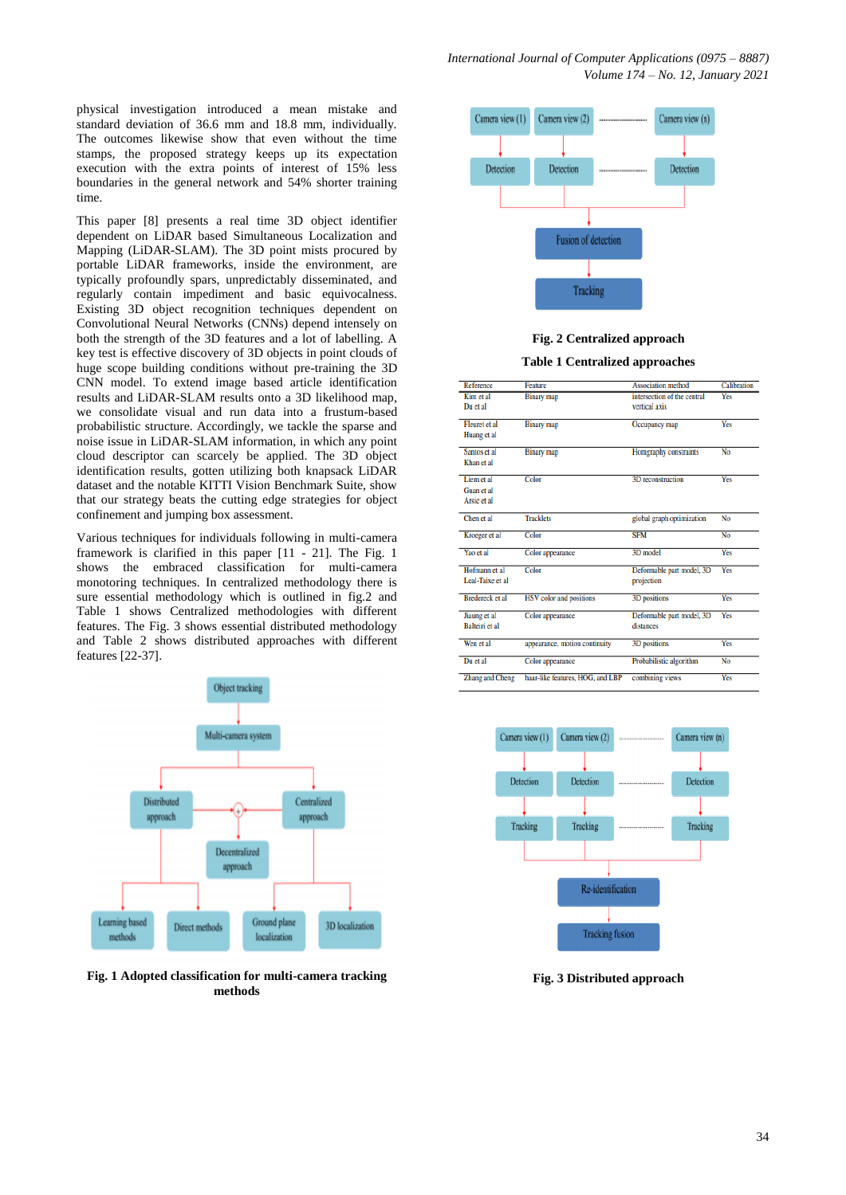physical investigation introduced a mean mistake and standard deviation of 36.6 mm and 18.8 mm, individually. The outcomes likewise show that even without the time stamps, the proposed strategy keeps up its expectation execution with the extra points of interest of 15% less boundaries in the general network and 54% shorter training time.

This paper [8] presents a real time 3D object identifier dependent on LiDAR based Simultaneous Localization and Mapping (LiDAR-SLAM). The 3D point mists procured by portable LiDAR frameworks, inside the environment, are typically profoundly spars, unpredictably disseminated, and regularly contain impediment and basic equivocalness. Existing 3D object recognition techniques dependent on Convolutional Neural Networks (CNNs) depend intensely on both the strength of the 3D features and a lot of labelling. A key test is effective discovery of 3D objects in point clouds of huge scope building conditions without pre-training the 3D CNN model. To extend image based article identification results and LiDAR-SLAM results onto a 3D likelihood map, we consolidate visual and run data into a frustum-based probabilistic structure. Accordingly, we tackle the sparse and noise issue in LiDAR-SLAM information, in which any point cloud descriptor can scarcely be applied. The 3D object identification results, gotten utilizing both knapsack LiDAR dataset and the notable KITTI Vision Benchmark Suite, show that our strategy beats the cutting edge strategies for object confinement and jumping box assessment.

Various techniques for individuals following in multi-camera framework is clarified in this paper [11 - 21]. The Fig. 1 shows the embraced classification for multi-camera monotoring techniques. In centralized methodology there is sure essential methodology which is outlined in fig.2 and Table 1 shows Centralized methodologies with different features. The Fig. 3 shows essential distributed methodology and Table 2 shows distributed approaches with different features [22-37].



**Fig. 1 Adopted classification for multi-camera tracking methods**



#### **Fig. 2 Centralized approach**

#### **Table 1 Centralized approaches**

| Reference               | Feature                          | <b>Association</b> method                    | Calibration |
|-------------------------|----------------------------------|----------------------------------------------|-------------|
| Kim et al<br>Du et al   | <b>Binary</b> map                | intersection of the central<br>vertical axis | Yes         |
| Fleuret et al           | <b>Binary map</b>                | Occupancy map                                | Yes         |
| Huang et al             |                                  |                                              |             |
| Santos et al            | <b>Binary map</b>                | Homgraphy constraints                        | No          |
| Khan et al              |                                  |                                              |             |
| Liem et al              | Color                            | 3D reconstruction                            | Yes         |
| Guan et al              |                                  |                                              |             |
| Arsic et al             |                                  |                                              |             |
| Chen et al              | <b>Tracklets</b>                 | global graph optimization                    | No          |
| Kroeger et al           | Color                            | <b>SFM</b>                                   | No          |
| Yao et al               | Color appearance                 | 3D model                                     | Yes         |
| Hofmann et al           | Color                            | Deformable part model, 3D                    | <b>Yes</b>  |
| Leal-Taixe et al.       |                                  | projection                                   |             |
| <b>Bredereck</b> et al. | HSV color and positions          | 3D positions                                 | <b>Yes</b>  |
| Jiaung et al            | Color appearance                 | Deformable part model, 3D                    | Yes         |
| <b>Balteiri</b> et al   |                                  | distances                                    |             |
| Wen et al               | appearance, motion continuity    | 3D positions                                 | Yes         |
| Du et al                | Color appearance                 | Probabilistic algorithm                      | No          |
| <b>Zhang and Cheng</b>  | haar-like features, HOG, and LBP | combining views                              | Yes         |



**Fig. 3 Distributed approach**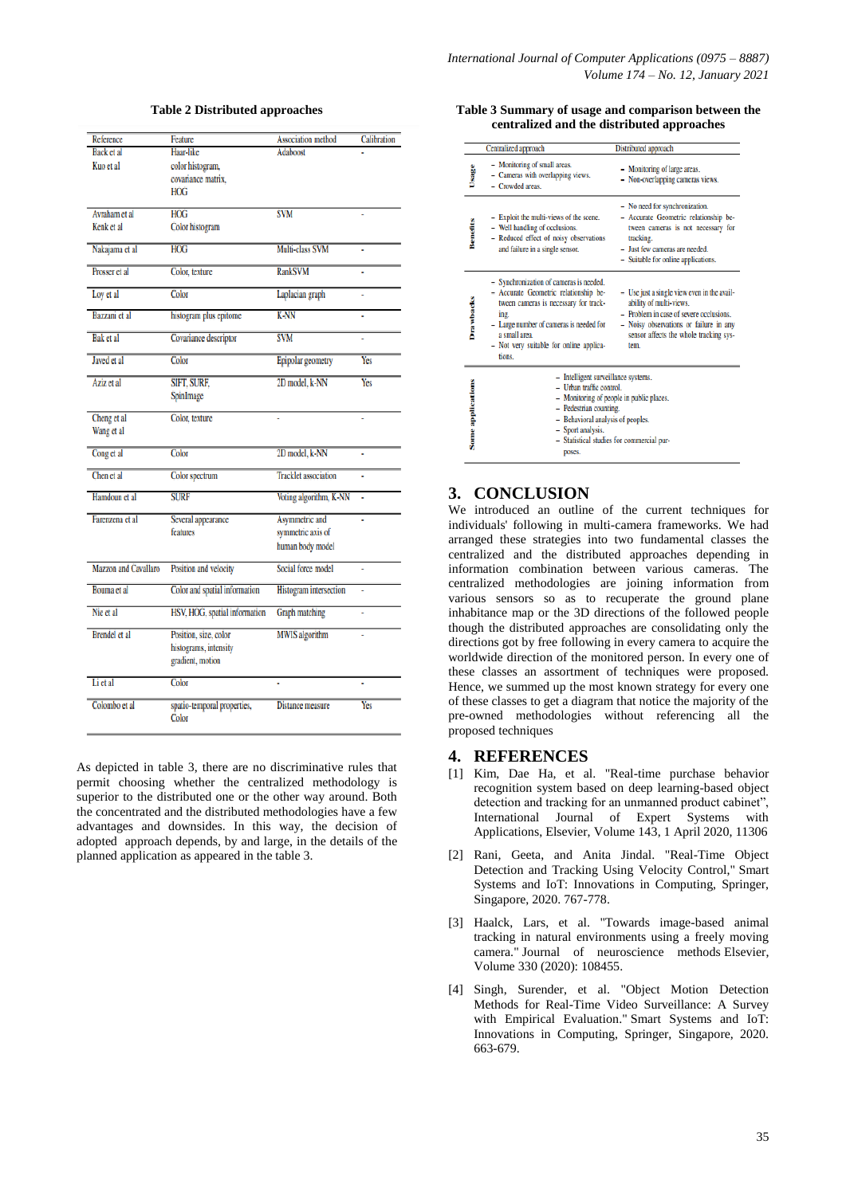| Reference            | Feature                       | <b>Association</b> method   | Calibration |
|----------------------|-------------------------------|-----------------------------|-------------|
| Back et al           | Haar-like                     | Adaboost                    |             |
| Kuo et al            | color histogram,              |                             |             |
|                      | covariance matrix,            |                             |             |
|                      | <b>HOG</b>                    |                             |             |
|                      |                               |                             |             |
| Avraham et al        | HOG                           | <b>SVM</b>                  |             |
| Kenk et al           | Color histogram               |                             |             |
| Nakajama et al       | <b>HOG</b>                    | Multi-class SVM             | ä,          |
| Prosser et al        | Color, texture                | <b>RankSVM</b>              |             |
| Loy et al            | Color                         | Laplacian graph             |             |
| Bazzani et al        | histogram plus epitome        | <b>K-NN</b>                 | i.          |
| <b>Bak</b> et al     | Covariance descriptor         | <b>SVM</b>                  | ÷,          |
| Javed et al          | Color                         | Epipolar geometry           | Yes         |
| Aziz et al           | <b>SIFT, SURF.</b>            | 2D model, k-NN              | Yes         |
|                      | SpinImage                     |                             |             |
| Cheng et al          | Color, texture                |                             |             |
| Wang et al           |                               |                             |             |
| Cong et al           | Color                         | 2D model, k-NN              |             |
| Chen et al           | Color spectrum                | <b>Tracklet</b> association |             |
| Hamdoun et al        | <b>SURF</b>                   | Voting algorithm, K-NN      | í,          |
| Farenzena et al      | Several appearance            | Asymmetric and              | l,          |
|                      | features                      | symmetric axis of           |             |
|                      |                               | human body model            |             |
| Mazzon and Cavallaro | Position and velocity         | Social force model          | ä,          |
| Bouma et al          | Color and spatial information | Histogram intersection      | ï           |
| Nie et al            | HSV, HOG, spatial information | Graph matching              | ä,          |
| <b>Brendel</b> et al | Position, size, color         | <b>MWIS</b> algorithm       | L.          |
|                      | histograms, intensity         |                             |             |
|                      | gradient, motion              |                             |             |
|                      | Color                         | ı,                          |             |
| Li et al             |                               |                             |             |
| Colombo et al        | spatio-temporal properties,   | Distance measure            | Yes         |

#### **Table 2 Distributed approaches**

As depicted in table 3, there are no discriminative rules that permit choosing whether the centralized methodology is superior to the distributed one or the other way around. Both the concentrated and the distributed methodologies have a few advantages and downsides. In this way, the decision of adopted approach depends, by and large, in the details of the planned application as appeared in the table 3.

#### **Table 3 Summary of usage and comparison between the centralized and the distributed approaches**

|                   | Centralized approach                                                                                                                                                                                                                                     | Distributed approach                                                                                                                                                                                          |  |
|-------------------|----------------------------------------------------------------------------------------------------------------------------------------------------------------------------------------------------------------------------------------------------------|---------------------------------------------------------------------------------------------------------------------------------------------------------------------------------------------------------------|--|
| Usage             | - Monitoring of small areas.<br>- Cameras with overlapping views.<br>- Crowded areas.                                                                                                                                                                    | - Monitoring of large areas.<br>- Non-overlapping cameras views.                                                                                                                                              |  |
| Benefits          | - Exploit the multi-views of the scene.<br>- Well handling of occlusions.<br>- Reduced effect of noisy observations<br>and failure in a single sensor.                                                                                                   | - No need for synchronization.<br>- Accurate Geometric relationship be-<br>tween cameras is not necessary for<br>tracking.<br>- Just few cameras are needed.<br>- Suitable for online applications.           |  |
| <b>Drawbacks</b>  | - Synchronization of cameras is needed.<br>- Accurate Geometric relationship be-<br>tween cameras is necessary for track-<br>ing.<br>- Large number of cameras is needed for<br>a small area.<br>- Not very suitable for online applica-<br>tions.       | - Use just a single view even in the avail-<br>ability of multi-views.<br>- Problem in case of severe occlusions.<br>- Noisy observations or failure in any<br>sensor affects the whole tracking sys-<br>tem. |  |
| Some applications | - Intelligent surveillance systems.<br>$-$ Urban traffic control.<br>- Monitoring of people in public places.<br>- Pedestrian counting.<br>- Behavioral analysis of peoples.<br>- Sport analysis.<br>- Statistical studies for commercial pur-<br>poses. |                                                                                                                                                                                                               |  |

# **3. CONCLUSION**

We introduced an outline of the current techniques for individuals' following in multi-camera frameworks. We had arranged these strategies into two fundamental classes the centralized and the distributed approaches depending in information combination between various cameras. The centralized methodologies are joining information from various sensors so as to recuperate the ground plane inhabitance map or the 3D directions of the followed people though the distributed approaches are consolidating only the directions got by free following in every camera to acquire the worldwide direction of the monitored person. In every one of these classes an assortment of techniques were proposed. Hence, we summed up the most known strategy for every one of these classes to get a diagram that notice the majority of the pre-owned methodologies without referencing all the proposed techniques

### **4. REFERENCES**

- [1] Kim, Dae Ha, et al. "Real-time purchase behavior recognition system based on deep learning-based object detection and tracking for an unmanned product cabinet", International Journal of Expert Systems with Applications, Elsevier, [Volume 143,](https://www.sciencedirect.com/science/journal/09574174/143/supp/C) 1 April 2020, 11306
- [2] Rani, Geeta, and Anita Jindal. "Real-Time Object Detection and Tracking Using Velocity Control," Smart Systems and IoT: Innovations in Computing, Springer, Singapore, 2020. 767-778.
- [3] Haalck, Lars, et al. "Towards image-based animal tracking in natural environments using a freely moving camera." Journal of neuroscience methods Elsevier, Volume 330 (2020): 108455.
- [4] Singh, Surender, et al. "Object Motion Detection Methods for Real-Time Video Surveillance: A Survey with Empirical Evaluation." Smart Systems and IoT: Innovations in Computing, Springer, Singapore, 2020. 663-679.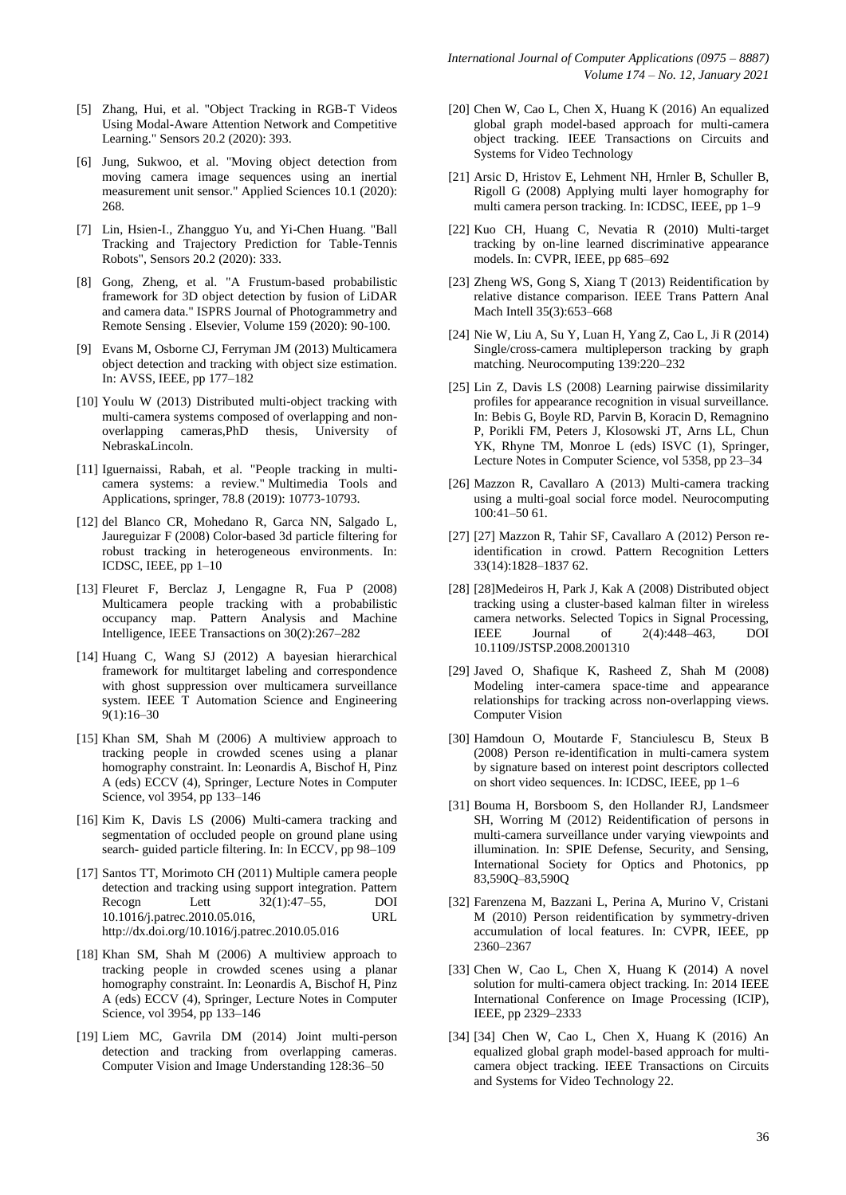- [5] Zhang, Hui, et al. "Object Tracking in RGB-T Videos Using Modal-Aware Attention Network and Competitive Learning." Sensors 20.2 (2020): 393.
- [6] Jung, Sukwoo, et al. "Moving object detection from moving camera image sequences using an inertial measurement unit sensor." Applied Sciences 10.1 (2020): 268.
- [7] Lin, Hsien-I., Zhangguo Yu, and Yi-Chen Huang. "Ball Tracking and Trajectory Prediction for Table-Tennis Robots", Sensors 20.2 (2020): 333.
- [8] Gong, Zheng, et al. "A Frustum-based probabilistic framework for 3D object detection by fusion of LiDAR and camera data." ISPRS Journal of Photogrammetry and Remote Sensing . Elsevier, Volume 159 (2020): 90-100.
- [9] Evans M, Osborne CJ, Ferryman JM (2013) Multicamera object detection and tracking with object size estimation. In: AVSS, IEEE, pp 177–182
- [10] Youlu W (2013) Distributed multi-object tracking with multi-camera systems composed of overlapping and nonoverlapping cameras,PhD thesis, University of NebraskaLincoln.
- [11] Iguernaissi, Rabah, et al. "People tracking in multicamera systems: a review." Multimedia Tools and Applications, springer, 78.8 (2019): 10773-10793.
- [12] del Blanco CR, Mohedano R, Garca NN, Salgado L, Jaureguizar F (2008) Color-based 3d particle filtering for robust tracking in heterogeneous environments. In: ICDSC, IEEE, pp 1–10
- [13] Fleuret F, Berclaz J, Lengagne R, Fua P (2008) Multicamera people tracking with a probabilistic occupancy map. Pattern Analysis and Machine Intelligence, IEEE Transactions on 30(2):267–282
- [14] Huang C, Wang SJ (2012) A bayesian hierarchical framework for multitarget labeling and correspondence with ghost suppression over multicamera surveillance system. IEEE T Automation Science and Engineering 9(1):16–30
- [15] Khan SM, Shah M (2006) A multiview approach to tracking people in crowded scenes using a planar homography constraint. In: Leonardis A, Bischof H, Pinz A (eds) ECCV (4), Springer, Lecture Notes in Computer Science, vol 3954, pp 133–146
- [16] Kim K, Davis LS (2006) Multi-camera tracking and segmentation of occluded people on ground plane using search- guided particle filtering. In: In ECCV, pp 98–109
- [17] Santos TT, Morimoto CH (2011) Multiple camera people detection and tracking using support integration. Pattern Recogn Lett 32(1):47–55, DOI 10.1016/j.patrec.2010.05.016, URL <http://dx.doi.org/10.1016/j.patrec.2010.05.016>
- [18] Khan SM, Shah M (2006) A multiview approach to tracking people in crowded scenes using a planar homography constraint. In: Leonardis A, Bischof H, Pinz A (eds) ECCV (4), Springer, Lecture Notes in Computer Science, vol 3954, pp 133–146
- [19] Liem MC, Gavrila DM (2014) Joint multi-person detection and tracking from overlapping cameras. Computer Vision and Image Understanding 128:36–50
- [20] Chen W, Cao L, Chen X, Huang K (2016) An equalized global graph model-based approach for multi-camera object tracking. IEEE Transactions on Circuits and Systems for Video Technology
- [21] Arsic D, Hristov E, Lehment NH, Hrnler B, Schuller B, Rigoll G (2008) Applying multi layer homography for multi camera person tracking. In: ICDSC, IEEE, pp 1–9
- [22] Kuo CH, Huang C, Nevatia R (2010) Multi-target tracking by on-line learned discriminative appearance models. In: CVPR, IEEE, pp 685–692
- [23] Zheng WS, Gong S, Xiang T (2013) Reidentification by relative distance comparison. IEEE Trans Pattern Anal Mach Intell 35(3):653–668
- [24] Nie W, Liu A, Su Y, Luan H, Yang Z, Cao L, Ji R (2014) Single/cross-camera multipleperson tracking by graph matching. Neurocomputing 139:220–232
- [25] Lin Z, Davis LS (2008) Learning pairwise dissimilarity profiles for appearance recognition in visual surveillance. In: Bebis G, Boyle RD, Parvin B, Koracin D, Remagnino P, Porikli FM, Peters J, Klosowski JT, Arns LL, Chun YK, Rhyne TM, Monroe L (eds) ISVC (1), Springer, Lecture Notes in Computer Science, vol 5358, pp 23–34
- [26] Mazzon R, Cavallaro A (2013) Multi-camera tracking using a multi-goal social force model. Neurocomputing 100:41–50 61.
- [27] [27] Mazzon R, Tahir SF, Cavallaro A (2012) Person reidentification in crowd. Pattern Recognition Letters 33(14):1828–1837 62.
- [28] [28] Medeiros H, Park J, Kak A (2008) Distributed object tracking using a cluster-based kalman filter in wireless camera networks. Selected Topics in Signal Processing, IEEE Journal of 2(4):448–463, DOI 10.1109/JSTSP.2008.2001310
- [29] Javed O, Shafique K, Rasheed Z, Shah M (2008) Modeling inter-camera space-time and appearance relationships for tracking across non-overlapping views. Computer Vision
- [30] Hamdoun O, Moutarde F, Stanciulescu B, Steux B (2008) Person re-identification in multi-camera system by signature based on interest point descriptors collected on short video sequences. In: ICDSC, IEEE, pp 1–6
- [31] Bouma H, Borsboom S, den Hollander RJ, Landsmeer SH, Worring M (2012) Reidentification of persons in multi-camera surveillance under varying viewpoints and illumination. In: SPIE Defense, Security, and Sensing, International Society for Optics and Photonics, pp 83,590Q–83,590Q
- [32] Farenzena M, Bazzani L, Perina A, Murino V, Cristani M (2010) Person reidentification by symmetry-driven accumulation of local features. In: CVPR, IEEE, pp 2360–2367
- [33] Chen W, Cao L, Chen X, Huang K (2014) A novel solution for multi-camera object tracking. In: 2014 IEEE International Conference on Image Processing (ICIP), IEEE, pp 2329–2333
- [34] [34] Chen W, Cao L, Chen X, Huang K (2016) An equalized global graph model-based approach for multicamera object tracking. IEEE Transactions on Circuits and Systems for Video Technology 22.